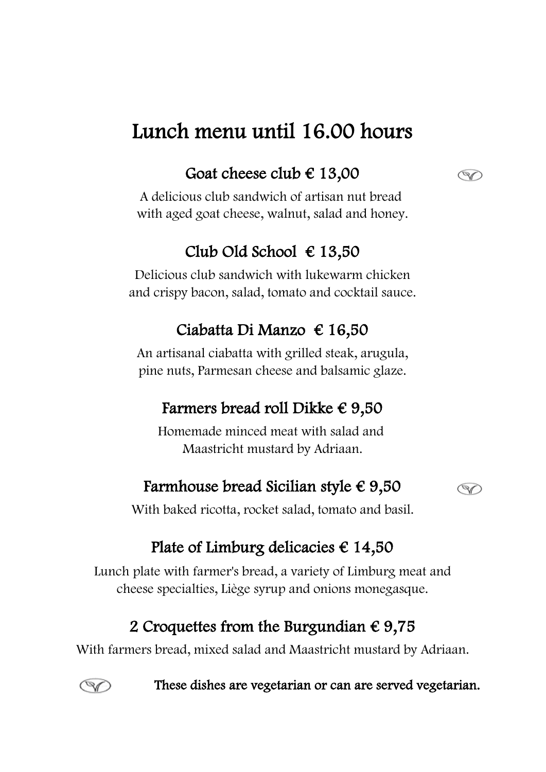# Lunch menu until 16.00 hours

## Goat cheese club  $\in$  13,00

A delicious club sandwich of artisan nut bread with aged goat cheese, walnut, salad and honey.

#### Club Old School € 13,50

Delicious club sandwich with lukewarm chicken and crispy bacon, salad, tomato and cocktail sauce.

#### Ciabatta Di Manzo € 16,50

An artisanal ciabatta with grilled steak, arugula, pine nuts, Parmesan cheese and balsamic glaze.

#### Farmers bread roll Dikke  $\epsilon$  9,50

Homemade minced meat with salad and Maastricht mustard by Adriaan.

#### Farmhouse bread Sicilian style  $\epsilon$  9,50



S

With baked ricotta, rocket salad, tomato and basil.

#### Plate of Limburg delicacies  $\epsilon$  14,50

Lunch plate with farmer's bread, a variety of Limburg meat and cheese specialties, Liège syrup and onions monegasque.

#### 2 Croquettes from the Burgundian  $\epsilon$  9,75

With farmers bread, mixed salad and Maastricht mustard by Adriaan.



These dishes are vegetarian or can are served vegetarian.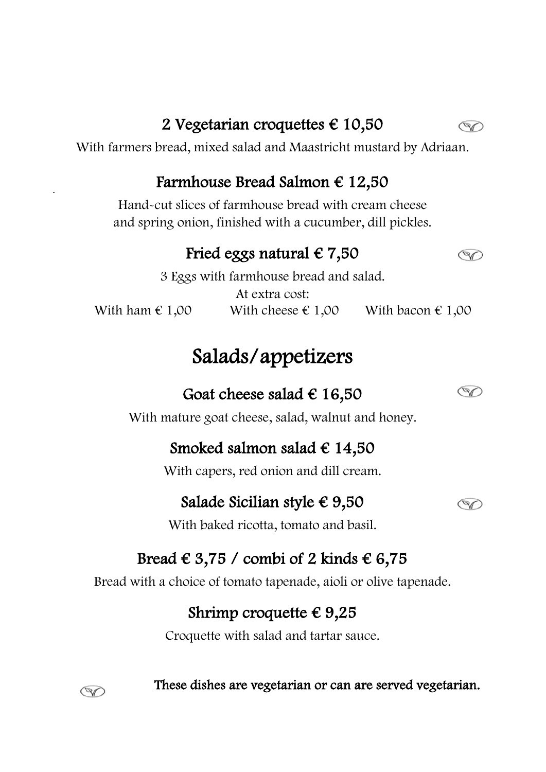### 2 Vegetarian croquettes  $\epsilon$  10,50

With farmers bread, mixed salad and Maastricht mustard by Adriaan.

#### Farmhouse Bread Salmon  $\epsilon$  12,50

Hand-cut slices of farmhouse bread with cream cheese and spring onion, finished with a cucumber, dill pickles.

### Fried eggs natural  $\epsilon$  7,50

With ham  $\epsilon$  1,00 With cheese  $\epsilon$  1,00 With bacon  $\epsilon$  1,00 3 Eggs with farmhouse bread and salad. At extra cost:

# Salads/appetizers

### Goat cheese salad  $\epsilon$  16,50

With mature goat cheese, salad, walnut and honey.

## Smoked salmon salad  $\epsilon$  14,50

With capers, red onion and dill cream.

#### Salade Sicilian style  $\epsilon$  9,50

With baked ricotta, tomato and basil.

# Bread  $\in$  3,75 / combi of 2 kinds  $\in$  6,75

Bread with a choice of tomato tapenade, aioli or olive tapenade.

## Shrimp croquette  $\epsilon$  9,25

Croquette with salad and tartar sauce.

These dishes are vegetarian or can are served vegetarian.



 $\ddot{\phantom{a}}$ 







 $\circledcirc$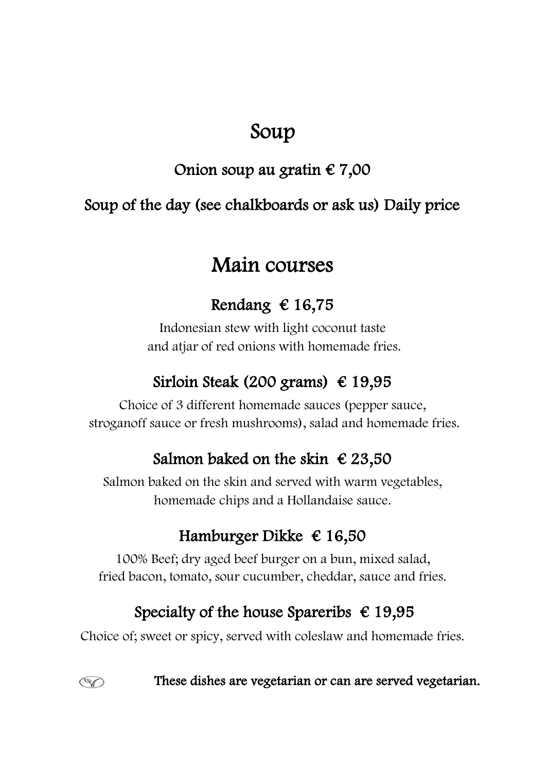# Soup

# Onion soup au gratin € 7,00

## Soup of the day (see chalkboards or ask us) Daily price

# Main courses

## Rendang  $\in$  16,75

 and atjar of red onions with homemade fries. Indonesian stew with light coconut taste

## Sirloin Steak (200 grams)  $\epsilon$  19,95

Choice of 3 different homemade sauces (pepper sauce, stroganoff sauce or fresh mushrooms), salad and homemade fries.

## Salmon baked on the skin  $\epsilon$  23,50

homemade chips and a Hollandaise sauce. Salmon baked on the skin and served with warm vegetables,

# Hamburger Dikke  $\epsilon$  16,50

100% Beef; dry aged beef burger on a bun, mixed salad, fried bacon, tomato, sour cucumber, cheddar, sauce and fries.

## Specialty of the house Spareribs  $\epsilon$  19,95

Choice of; sweet or spicy, served with coleslaw and homemade fries.

 $\circledcirc$ 

These dishes are vegetarian or can are served vegetarian.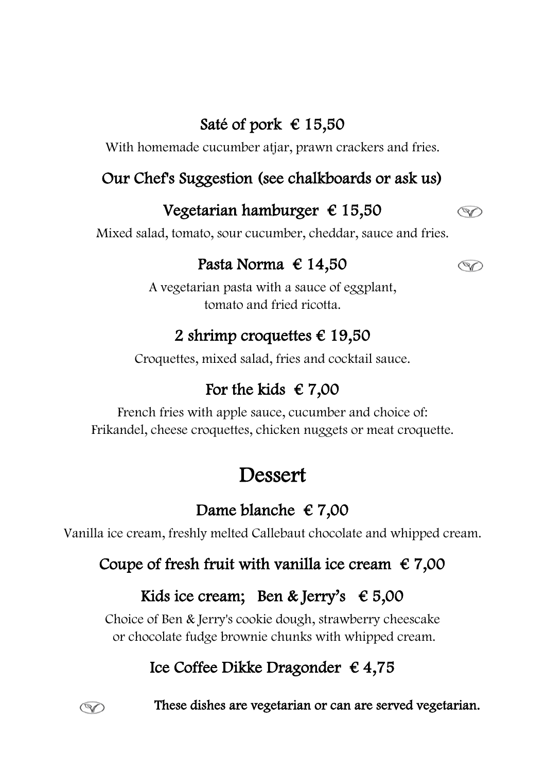# Saté of pork  $\in$  15,50

With homemade cucumber atjar, prawn crackers and fries.

#### Our Chef's Suggestion (see chalkboards or ask us)

### Vegetarian hamburger  $\epsilon$  15,50

Mixed salad, tomato, sour cucumber, cheddar, sauce and fries.

#### Pasta Norma € 14,50

 $\circledcirc$ 

 $\circledcirc$ 

tomato and fried ricotta. A vegetarian pasta with a sauce of eggplant,

#### 2 shrimp croquettes  $\epsilon$  19,50

Croquettes, mixed salad, fries and cocktail sauce.

# For the kids  $\epsilon$  7,00

Frikandel, cheese croquettes, chicken nuggets or meat croquette. French fries with apple sauce, cucumber and choice of:

# Dessert

# Dame blanche  $\in 7,00$

Vanilla ice cream, freshly melted Callebaut chocolate and whipped cream.

#### Coupe of fresh fruit with vanilla ice cream  $\epsilon$  7,00

## Kids ice cream; Ben & Jerry's  $\epsilon$  5,00

Choice of Ben & Jerry's cookie dough, strawberry cheescake or chocolate fudge brownie chunks with whipped cream.

# Ice Coffee Dikke Dragonder € 4,75